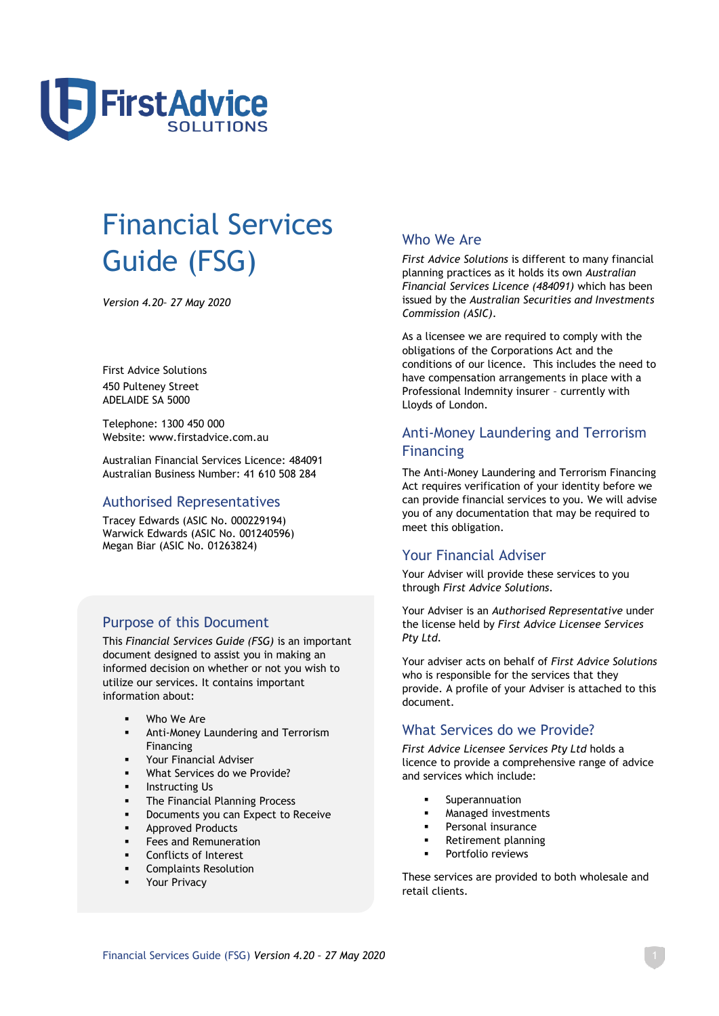

# Financial Services Guide (FSG)

*Version 4.20– 27 May 2020*

First Advice Solutions 450 Pulteney Street ADELAIDE SA 5000

Telephone: 1300 450 000 Website: www.firstadvice.com.au

Australian Financial Services Licence: 484091 Australian Business Number: 41 610 508 284

## Authorised Representatives

Tracey Edwards (ASIC No. 000229194) Warwick Edwards (ASIC No. 001240596) Megan Biar (ASIC No. 01263824)

# Purpose of this Document

This *Financial Services Guide (FSG)* is an important document designed to assist you in making an informed decision on whether or not you wish to utilize our services. It contains important information about:

- Who We Are
- **■** Anti-Money Laundering and Terrorism Financing
- Your Financial Adviser
- What Services do we Provide?
- **■** Instructing Us
- **•** The Financial Planning Process
- Documents you can Expect to Receive
- Approved Products
- **•** Fees and Remuneration
- Conflicts of Interest
- **Complaints Resolution**
- **■** Your Privacy

## Who We Are

*First Advice Solutions* is different to many financial planning practices as it holds its own *Australian Financial Services Licence (484091)* which has been issued by the *Australian Securities and Investments Commission (ASIC)*.

As a licensee we are required to comply with the obligations of the Corporations Act and the conditions of our licence. This includes the need to have compensation arrangements in place with a Professional Indemnity insurer – currently with Lloyds of London.

# Anti-Money Laundering and Terrorism Financing

The Anti-Money Laundering and Terrorism Financing Act requires verification of your identity before we can provide financial services to you. We will advise you of any documentation that may be required to meet this obligation.

## Your Financial Adviser

Your Adviser will provide these services to you through *First Advice Solutions*.

Your Adviser is an *Authorised Representative* under the license held by *First Advice Licensee Services Pty Ltd.*

Your adviser acts on behalf of *First Advice Solutions* who is responsible for the services that they provide. A profile of your Adviser is attached to this document.

## What Services do we Provide?

*First Advice Licensee Services Pty Ltd* holds a licence to provide a comprehensive range of advice and services which include:

- Superannuation
- Managed investments
- Personal insurance
- Retirement planning
- Portfolio reviews

These services are provided to both wholesale and retail clients.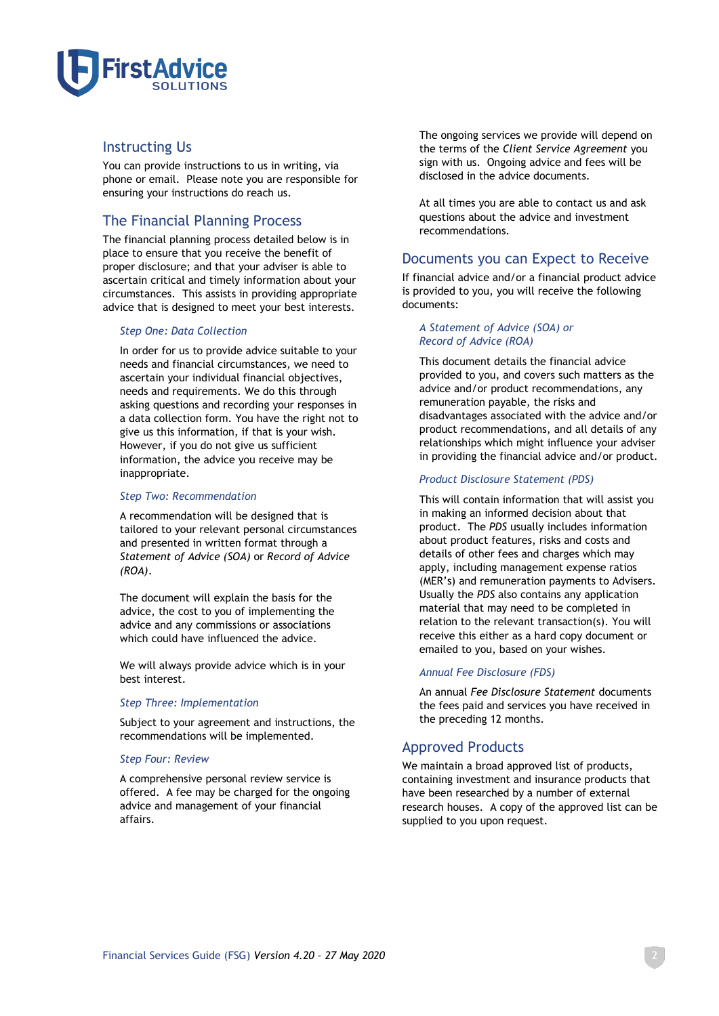

## Instructing Us

You can provide instructions to us in writing, via phone or email. Please note you are responsible for ensuring your instructions do reach us.

# The Financial Planning Process

The financial planning process detailed below is in place to ensure that you receive the benefit of proper disclosure; and that your adviser is able to ascertain critical and timely information about your circumstances. This assists in providing appropriate advice that is designed to meet your best interests.

## *Step One: Data Collection*

In order for us to provide advice suitable to your needs and financial circumstances, we need to ascertain your individual financial objectives, needs and requirements. We do this through asking questions and recording your responses in a data collection form. You have the right not to give us this information, if that is your wish. However, if you do not give us sufficient information, the advice you receive may be inappropriate.

## *Step Two: Recommendation*

A recommendation will be designed that is tailored to your relevant personal circumstances and presented in written format through a *Statement of Advice (SOA)* or *Record of Advice (ROA)*.

The document will explain the basis for the advice, the cost to you of implementing the advice and any commissions or associations which could have influenced the advice.

We will always provide advice which is in your best interest.

## *Step Three: Implementation*

Subject to your agreement and instructions, the recommendations will be implemented.

## *Step Four: Review*

A comprehensive personal review service is offered. A fee may be charged for the ongoing advice and management of your financial affairs.

The ongoing services we provide will depend on the terms of the *Client Service Agreement* you sign with us. Ongoing advice and fees will be disclosed in the advice documents.

At all times you are able to contact us and ask questions about the advice and investment recommendations.

## Documents you can Expect to Receive

If financial advice and/or a financial product advice is provided to you, you will receive the following documents:

## *A Statement of Advice (SOA) or Record of Advice (ROA)*

This document details the financial advice provided to you, and covers such matters as the advice and/or product recommendations, any remuneration payable, the risks and disadvantages associated with the advice and/or product recommendations, and all details of any relationships which might influence your adviser in providing the financial advice and/or product.

## *Product Disclosure Statement (PDS)*

This will contain information that will assist you in making an informed decision about that product. The *PDS* usually includes information about product features, risks and costs and details of other fees and charges which may apply, including management expense ratios (MER's) and remuneration payments to Advisers. Usually the *PDS* also contains any application material that may need to be completed in relation to the relevant transaction(s). You will receive this either as a hard copy document or emailed to you, based on your wishes.

## *Annual Fee Disclosure (FDS)*

An annual *Fee Disclosure Statement* documents the fees paid and services you have received in the preceding 12 months.

## Approved Products

We maintain a broad approved list of products, containing investment and insurance products that have been researched by a number of external research houses. A copy of the approved list can be supplied to you upon request.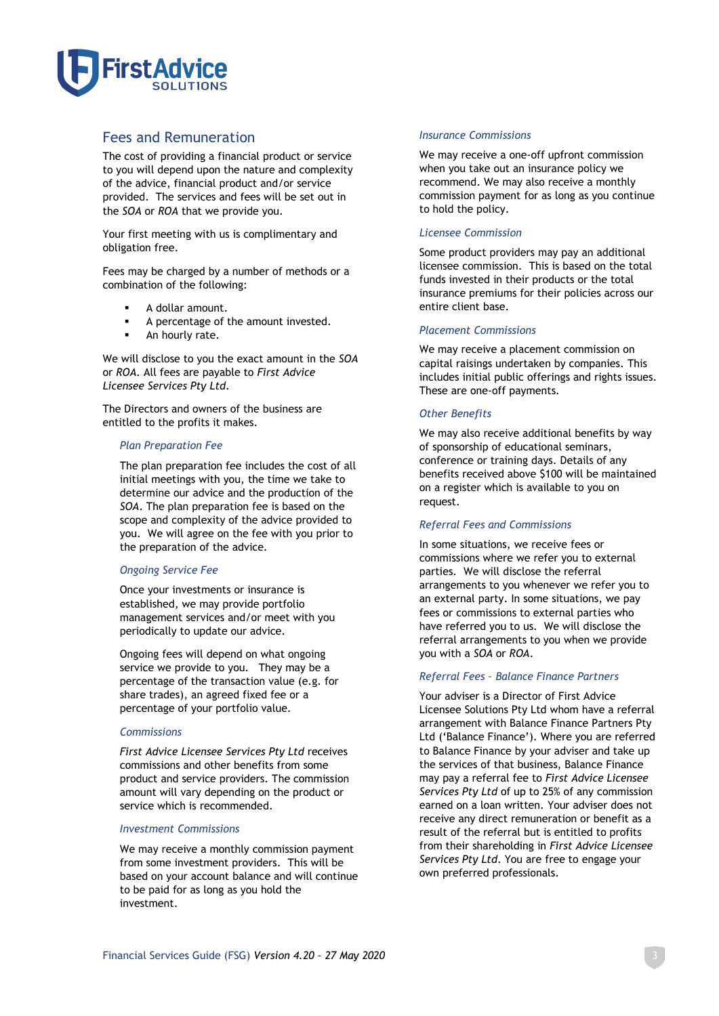

## Fees and Remuneration

The cost of providing a financial product or service to you will depend upon the nature and complexity of the advice, financial product and/or service provided. The services and fees will be set out in the *SOA* or *ROA* that we provide you.

Your first meeting with us is complimentary and obligation free.

Fees may be charged by a number of methods or a combination of the following:

- A dollar amount.
- A percentage of the amount invested.
- An hourly rate.

We will disclose to you the exact amount in the *SOA*  or *ROA.* All fees are payable to *First Advice Licensee Services Pty Ltd*.

The Directors and owners of the business are entitled to the profits it makes.

#### *Plan Preparation Fee*

The plan preparation fee includes the cost of all initial meetings with you, the time we take to determine our advice and the production of the *SOA*. The plan preparation fee is based on the scope and complexity of the advice provided to you. We will agree on the fee with you prior to the preparation of the advice.

## *Ongoing Service Fee*

Once your investments or insurance is established, we may provide portfolio management services and/or meet with you periodically to update our advice.

Ongoing fees will depend on what ongoing service we provide to you. They may be a percentage of the transaction value (e.g. for share trades), an agreed fixed fee or a percentage of your portfolio value.

#### *Commissions*

*First Advice Licensee Services Pty Ltd* receives commissions and other benefits from some product and service providers. The commission amount will vary depending on the product or service which is recommended.

#### *Investment Commissions*

We may receive a monthly commission payment from some investment providers. This will be based on your account balance and will continue to be paid for as long as you hold the investment.

#### *Insurance Commissions*

We may receive a one-off upfront commission when you take out an insurance policy we recommend. We may also receive a monthly commission payment for as long as you continue to hold the policy.

## *Licensee Commission*

Some product providers may pay an additional licensee commission. This is based on the total funds invested in their products or the total insurance premiums for their policies across our entire client base.

## *Placement Commissions*

We may receive a placement commission on capital raisings undertaken by companies. This includes initial public offerings and rights issues. These are one-off payments.

## *Other Benefits*

We may also receive additional benefits by way of sponsorship of educational seminars, conference or training days. Details of any benefits received above \$100 will be maintained on a register which is available to you on request.

## *Referral Fees and Commissions*

In some situations, we receive fees or commissions where we refer you to external parties. We will disclose the referral arrangements to you whenever we refer you to an external party. In some situations, we pay fees or commissions to external parties who have referred you to us. We will disclose the referral arrangements to you when we provide you with a *SOA* or *ROA*.

## *Referral Fees – Balance Finance Partners*

Your adviser is a Director of First Advice Licensee Solutions Pty Ltd whom have a referral arrangement with Balance Finance Partners Pty Ltd ('Balance Finance'). Where you are referred to Balance Finance by your adviser and take up the services of that business, Balance Finance may pay a referral fee to *First Advice Licensee Services Pty Ltd* of up to 25% of any commission earned on a loan written. Your adviser does not receive any direct remuneration or benefit as a result of the referral but is entitled to profits from their shareholding in *First Advice Licensee Services Pty Ltd*. You are free to engage your own preferred professionals.